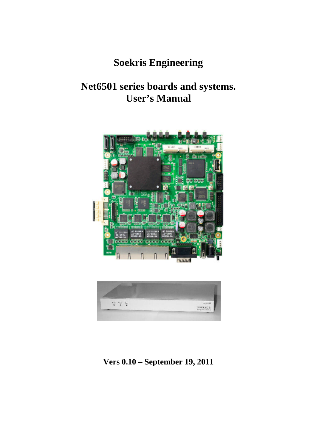## **Soekris Engineering**

## **Net6501 series boards and systems. User's Manual**





**Vers 0.10 – September 19, 2011**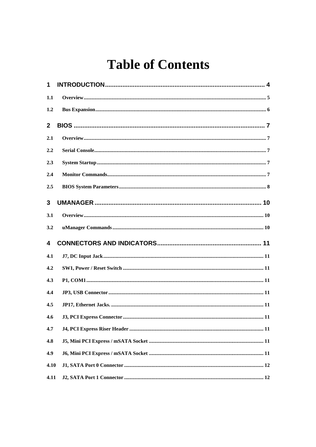## **Table of Contents**

| 1                       |     |
|-------------------------|-----|
| 1.1                     |     |
| 1.2                     |     |
| $\mathbf{2}$            |     |
| 2.1                     |     |
| 2.2                     |     |
| 2.3                     |     |
| 2.4                     |     |
| 2.5                     |     |
| 3                       |     |
| 3.1                     |     |
|                         |     |
| 3.2                     |     |
| $\overline{\mathbf{4}}$ |     |
| 4.1                     |     |
| 4.2                     |     |
| 4.3                     |     |
| 4.4                     |     |
| 4.5                     |     |
| 4.6                     | .11 |
| 4.7                     |     |
| 4.8                     |     |
| 4.9                     |     |
| 4.10                    |     |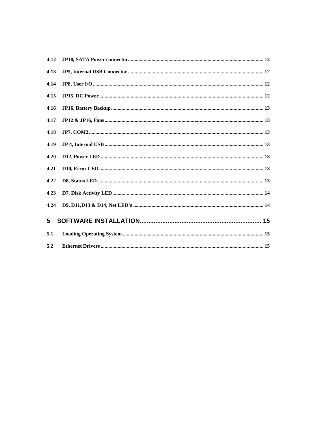| 4.12        |  |
|-------------|--|
| 4.13        |  |
| 4.14        |  |
| 4.15        |  |
| 4.16        |  |
| 4.17        |  |
| 4.18        |  |
| 4.19        |  |
| 4.20        |  |
| 4.21        |  |
| 4.22        |  |
| 4.23        |  |
| 4.24        |  |
| $5^{\circ}$ |  |
| 5.1         |  |
| 5.2         |  |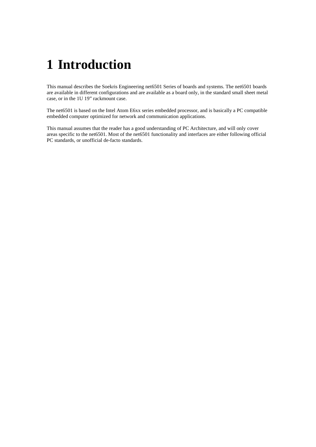## **1 Introduction**

This manual describes the Soekris Engineering net6501 Series of boards and systems. The net6501 boards are available in different configurations and are available as a board only, in the standard small sheet metal case, or in the 1U 19" rackmount case.

The net6501 is based on the Intel Atom E6xx series embedded processor, and is basically a PC compatible embedded computer optimized for network and communication applications.

This manual assumes that the reader has a good understanding of PC Architecture, and will only cover areas specific to the net6501. Most of the net6501 functionality and interfaces are either following official PC standards, or unofficial de-facto standards.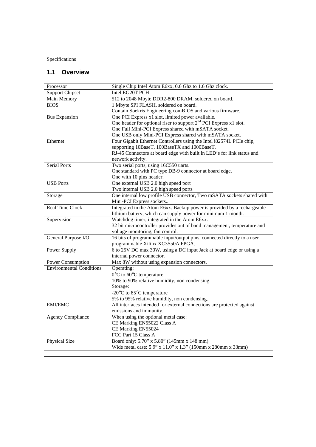Specifications

## **1.1 Overview**

| Processor                       | Single Chip Intel Atom E6xx, 0.6 Ghz to 1.6 Ghz clock.                                                   |  |  |  |  |
|---------------------------------|----------------------------------------------------------------------------------------------------------|--|--|--|--|
| <b>Support Chipset</b>          | Intel EG20T PCH                                                                                          |  |  |  |  |
| Main Memory                     | 512 to 2048 Mbyte DDR2-800 DRAM, soldered on board.                                                      |  |  |  |  |
| <b>BIOS</b>                     | 1 Mbyte SPI FLASH, soldered on board.                                                                    |  |  |  |  |
|                                 | Contain Soekris Engineering comBIOS and various firmware.                                                |  |  |  |  |
| <b>Bus Expansion</b>            | One PCI Express x1 slot, limited power available.                                                        |  |  |  |  |
|                                 | One header for optional riser to support 2 <sup>nd</sup> PCI Express x1 slot.                            |  |  |  |  |
|                                 | One Full Mini-PCI Express shared with mSATA socket.                                                      |  |  |  |  |
|                                 | One USB only Mini-PCI Express shared with mSATA socket.                                                  |  |  |  |  |
| Ethernet                        | Four Gigabit Ethernet Controllers using the Intel i82574L PCIe chip,                                     |  |  |  |  |
|                                 | supporting 10BaseT, 100BaseTX and 1000BaseT.                                                             |  |  |  |  |
|                                 | RJ-45 Connectors at board edge with built in LED's for link status and                                   |  |  |  |  |
|                                 | network activity.                                                                                        |  |  |  |  |
| <b>Serial Ports</b>             | Two serial ports, using 16C550 uarts.                                                                    |  |  |  |  |
|                                 | One standard with PC type DB-9 connector at board edge.                                                  |  |  |  |  |
|                                 | One with 10 pins header.                                                                                 |  |  |  |  |
| <b>USB Ports</b>                | One external USB 2.0 high speed port                                                                     |  |  |  |  |
|                                 | Two internal USB 2.0 high speed ports                                                                    |  |  |  |  |
| Storage                         | One internal low profile USB connector, Two mSATA sockets shared with                                    |  |  |  |  |
|                                 | Mini-PCI Express sockets                                                                                 |  |  |  |  |
| <b>Real Time Clock</b>          | Integrated in the Atom E6xx. Backup power is provided by a rechargeable                                  |  |  |  |  |
|                                 | lithium battery, which can supply power for minimum 1 month.                                             |  |  |  |  |
| Supervision                     | Watchdog timer, integrated in the Atom E6xx.                                                             |  |  |  |  |
|                                 | 32 bit microcontroller provides out of band management, temperature and                                  |  |  |  |  |
|                                 | voltage monitoring, fan control.                                                                         |  |  |  |  |
| General Purpose I/O             | 16 bits of programmable input/output pins, connected directly to a user                                  |  |  |  |  |
| <b>Power Supply</b>             | programmable Xilinx XC3S50A FPGA.<br>6 to 25V DC max 30W, using a DC input Jack at board edge or using a |  |  |  |  |
|                                 | internal power connector.                                                                                |  |  |  |  |
| Power Consumption               | Max 8W without using expansion connectors.                                                               |  |  |  |  |
| <b>Environmental Conditions</b> | Operating:                                                                                               |  |  |  |  |
|                                 | 0°C to 60°C temperature                                                                                  |  |  |  |  |
|                                 | 10% to 90% relative humidity, non condensing.                                                            |  |  |  |  |
|                                 | Storage:                                                                                                 |  |  |  |  |
|                                 | -20°C to 85°C temperature                                                                                |  |  |  |  |
|                                 | 5% to 95% relative humidity, non condensing.                                                             |  |  |  |  |
| <b>EMI/EMC</b>                  | All interfaces intended for external connections are protected against                                   |  |  |  |  |
|                                 | emissions and immunity.                                                                                  |  |  |  |  |
| <b>Agency Compliance</b>        | When using the optional metal case:                                                                      |  |  |  |  |
|                                 | CE Marking EN55022 Class A                                                                               |  |  |  |  |
|                                 | CE Marking EN55024                                                                                       |  |  |  |  |
|                                 | FCC Part 15 Class A                                                                                      |  |  |  |  |
| Physical Size                   | Board only: 5.70" x 5.80" (145mm x 148 mm)                                                               |  |  |  |  |
|                                 | Wide metal case: 5.9" x 11.0" x 1.3" (150mm x 280mm x 33mm)                                              |  |  |  |  |
|                                 |                                                                                                          |  |  |  |  |
|                                 |                                                                                                          |  |  |  |  |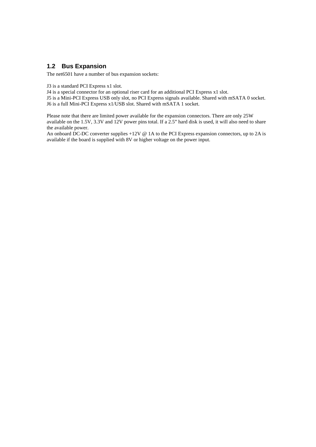## **1.2 Bus Expansion**

The net6501 have a number of bus expansion sockets:

J3 is a standard PCI Express x1 slot.

J4 is a special connector for an optional riser card for an additional PCI Express x1 slot.

J5 is a Mini-PCI Express USB only slot, no PCI Express signals available. Shared with mSATA 0 socket.

J6 is a full Mini-PCI Express x1/USB slot. Shared with mSATA 1 socket.

Please note that there are limited power available for the expansion connectors. There are only 25W available on the 1.5V, 3.3V and 12V power pins total. If a 2.5" hard disk is used, it will also need to share the available power.

An onboard DC-DC converter supplies +12V @ 1A to the PCI Express expansion connectors, up to 2A is available if the board is supplied with 8V or higher voltage on the power input.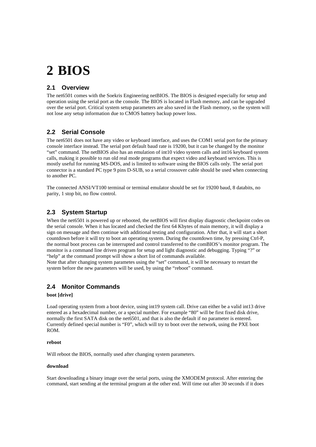## **2 BIOS**

## **2.1 Overview**

The net6501 comes with the Soekris Engineering netBIOS. The BIOS is designed especially for setup and operation using the serial port as the console. The BIOS is located in Flash memory, and can be upgraded over the serial port. Critical system setup parameters are also saved in the Flash memory, so the system will not lose any setup information due to CMOS battery backup power loss.

## **2.2 Serial Console**

The net6501 does not have any video or keyboard interface, and uses the COM1 serial port for the primary console interface instead. The serial port default baud rate is 19200, but it can be changed by the monitor "set" command. The netBIOS also has an emulation of int10 video system calls and int16 keyboard system calls, making it possible to run old real mode programs that expect video and keyboard services. This is mostly useful for running MS-DOS, and is limited to software using the BIOS calls only. The serial port connector is a standard PC type 9 pins D-SUB, so a serial crossover cable should be used when connecting to another PC.

The connected ANSI/VT100 terminal or terminal emulator should be set for 19200 baud, 8 databits, no parity, 1 stop bit, no flow control.

## **2.3 System Startup**

When the net6501 is powered up or rebooted, the netBIOS will first display diagnostic checkpoint codes on the serial console. When it has located and checked the first 64 Kbytes of main memory, it will display a sign on message and then continue with additional testing and configuration. After that, it will start a short countdown before it will try to boot an operating system. During the countdown time, by pressing Ctrl-P, the normal boot process can be interrupted and control transferred to the comBIOS's monitor program. The monitor is a command line driven program for setup and light diagnostic and debugging. Typing "?" or "help" at the command prompt will show a short list of commands available.

Note that after changing system parametes using the "set" command, it will be necessary to restart the system before the new parameters will be used, by using the "reboot" command.

## **2.4 Monitor Commands**

#### **boot [drive]**

Load operating system from a boot device, using int19 system call. Drive can either be a valid int13 drive entered as a hexadecimal number, or a special number. For example "80" will be first fixed disk drive, normally the first SATA disk on the net6501, and that is also the default if no parameter is entered. Currently defined special number is "F0", which will try to boot over the network, using the PXE boot ROM.

#### **reboot**

Will reboot the BIOS, normally used after changing system parameters.

#### **download**

Start downloading a binary image over the serial ports, using the XMODEM protocol. After entering the command, start sending at the terminal program at the other end. Will time out after 30 seconds if it does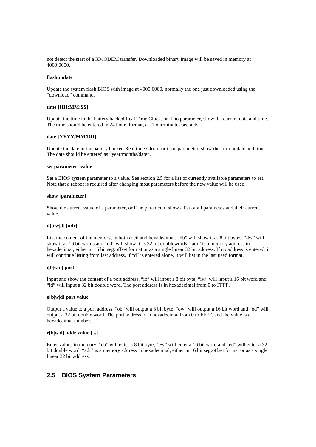not detect the start of a XMODEM transfer. Downloaded binary image will be saved in memory at 4000:0000.

#### **flashupdate**

Update the system flash BIOS with image at 4000:0000, normally the one just downloaded using the "download" command.

#### **time [HH:MM:SS]**

Update the time in the battery backed Real Time Clock, or if no parameter, show the current date and time. The time should be entered in 24 hours format, as "hour:minutes:seconds".

#### **date [YYYY/MM/DD]**

Update the date in the battery backed Real time Clock, or if no parameter, show the current date and time. The date should be entered as "year/months/date".

#### **set parameter=value**

Set a BIOS system parameter to a value. See section 2.5 for a list of currently available parameters to set. Note that a reboot is required after changing most parameters before the new value will be used.

#### **show [parameter]**

Show the current value of a parameter, or if no parameter, show a list of all parametes and their current value.

#### **d[b|w|d] [adr]**

List the content of the memory, in both ascii and hexadecimal. "db" will show it as 8 bit bytes, "dw" will show it as 16 bit words and "dd" will show it as 32 bit doublewords. "adr" is a memory address in hexadecimal, either in 16 bit seg:offset format or as a single linear 32 bit address. If no address is entered, it will continue listing from last address, if "d" is entered alone, it will list in the last used format.

#### **i[b|w|d] port**

Input and show the content of a port address. "ib" will input a 8 bit byte, "iw" will input a 16 bit word and "id" will input a 32 bit double word. The port address is in hexadecimal from 0 to FFFF.

#### **o[b|w|d] port value**

Output a value to a port address. "ob" will output a 8 bit byte, "ow" will output a 16 bit word and "od" will output a 32 bit double word. The port address is in hexadecimal from 0 to FFFF, and the value is a hexadecimal number.

#### **e[b|w|d] addr value [...]**

Enter values in memory. "eb" will enter a 8 bit byte, "ew" will enter a 16 bit word and "ed" will enter a 32 bit double word. "adr" is a memory address in hexadecimal, either in 16 bit seg:offset format or as a single linear 32 bit address.

#### **2.5 BIOS System Parameters**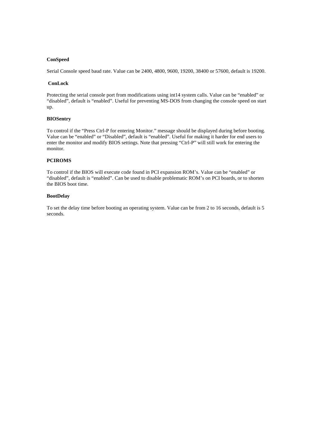#### **ConSpeed**

Serial Console speed baud rate. Value can be 2400, 4800, 9600, 19200, 38400 or 57600, default is 19200.

#### **ConLock**

Protecting the serial console port from modifications using int14 system calls. Value can be "enabled" or "disabled", default is "enabled". Useful for preventing MS-DOS from changing the console speed on start up.

#### **BIOSentry**

To control if the "Press Ctrl-P for entering Monitor." message should be displayed during before booting. Value can be "enabled" or "Disabled", default is "enabled". Useful for making it harder for end users to enter the monitor and modify BIOS settings. Note that pressing "Ctrl-P" will still work for entering the monitor.

#### **PCIROMS**

To control if the BIOS will execute code found in PCI expansion ROM's. Value can be "enabled" or "disabled", default is "enabled". Can be used to disable problematic ROM's on PCI boards, or to shorten the BIOS boot time.

#### **BootDelay**

To set the delay time before booting an operating system. Value can be from 2 to 16 seconds, default is 5 seconds.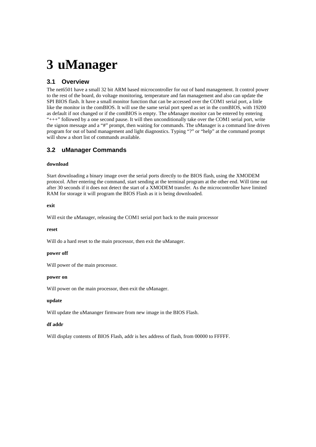## **3 uManager**

## **3.1 Overview**

The net6501 have a small 32 bit ARM based microcontroller for out of band management. It control power to the rest of the board, do voltage monitoring, temperature and fan management and also can update the SPI BIOS flash. It have a small monitor function that can be accessed over the COM1 serial port, a little like the monitor in the comBIOS. It will use the same serial port speed as set in the comBIOS, with 19200 as default if not changed or if the comBIOS is empty. The uManager monitor can be entered by entering "+++" followed by a one second pause. It will then unconditionally take over the COM1 serial port, write the signon message and a "#" prompt, then waiting for commands. The uManager is a command line driven program for out of band management and light diagnostics. Typing "?" or "help" at the command prompt will show a short list of commands available.

## **3.2 uManager Commands**

#### **download**

Start downloading a binary image over the serial ports directly to the BIOS flash, using the XMODEM protocol. After entering the command, start sending at the terminal program at the other end. Will time out after 30 seconds if it does not detect the start of a XMODEM transfer. As the microcontroller have limited RAM for storage it will program the BIOS Flash as it is being downloaded.

#### **exit**

Will exit the uManager, releasing the COM1 serial port back to the main processor

#### **reset**

Will do a hard reset to the main processor, then exit the uManager.

#### **power off**

Will power of the main processor.

#### **power on**

Will power on the main processor, then exit the uManager.

#### **update**

Will update the uMananger firmware from new image in the BIOS Flash.

#### **df addr**

Will display contents of BIOS Flash, addr is hex address of flash, from 00000 to FFFFF.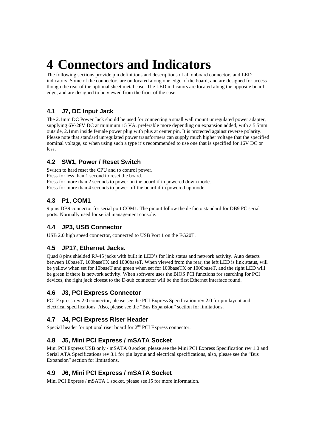# **4 Connectors and Indicators**

The following sections provide pin definitions and descriptions of all onboard connectors and LED indicators. Some of the connectors are on located along one edge of the board, and are designed for access though the rear of the optional sheet metal case. The LED indicators are located along the opposite board edge, and are designed to be viewed from the front of the case.

## **4.1 J7, DC Input Jack**

The 2.1mm DC Power Jack should be used for connecting a small wall mount unregulated power adapter, supplying 6V-28V DC at minimum 15 VA, preferable more depending on expansion added, with a 5.5mm outside, 2.1mm inside female power plug with plus at center pin. It is protected against reverse polarity. Please note that standard unregulated power transformers can supply much higher voltage that the specified nominal voltage, so when using such a type it's recommended to use one that is specified for 16V DC or less.

## **4.2 SW1, Power / Reset Switch**

Switch to hard reset the CPU and to control power. Press for less than 1 second to reset the board. Press for more than 2 seconds to power on the board if in powered down mode. Press for more than 4 seconds to power off the board if in powered up mode.

## **4.3 P1, COM1**

9 pins DB9 connector for serial port COM1. The pinout follow the de facto standard for DB9 PC serial ports. Normally used for serial management console.

## **4.4 JP3, USB Connector**

USB 2.0 high speed connector, connected to USB Port 1 on the EG20T.

## **4.5 JP17, Ethernet Jacks.**

Quad 8 pins shielded RJ-45 jacks with built in LED's for link status and network activity. Auto detects between 10baseT, 100baseTX and 1000baseT. When viewed from the rear, the left LED is link status, will be yellow when set for 10baseT and green when set for 100baseTX or 1000baseT, and the right LED will be green if there is network activity. When software uses the BIOS PCI functions for searching for PCI devices, the right jack closest to the D-sub connector will be the first Ethernet interface found.

## **4.6 J3, PCI Express Connector**

PCI Express rev 2.0 connector, please see the PCI Express Specification rev 2.0 for pin layout and electrical specifications. Also, please see the "Bus Expansion" section for limitations.

## **4.7 J4, PCI Express Riser Header**

Special header for optional riser board for  $2<sup>nd</sup>$  PCI Express connector.

## **4.8 J5, Mini PCI Express / mSATA Socket**

Mini PCI Express USB only / mSATA 0 socket, please see the Mini PCI Express Specification rev 1.0 and Serial ATA Specifications rev 3.1 for pin layout and electrical specifications, also, please see the "Bus Expansion" section for limitations.

## **4.9 J6, Mini PCI Express / mSATA Socket**

Mini PCI Express / mSATA 1 socket, please see J5 for more information.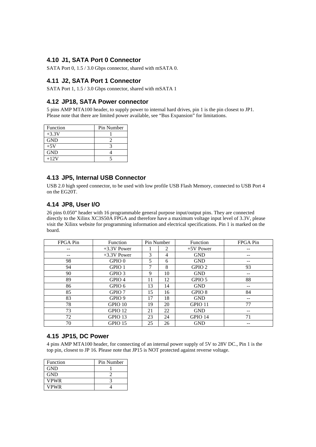## **4.10 J1, SATA Port 0 Connector**

SATA Port 0, 1.5 / 3.0 Gbps connector, shared with mSATA 0.

### **4.11 J2, SATA Port 1 Connector**

SATA Port 1, 1.5 / 3.0 Gbps connector, shared with mSATA 1

## **4.12 JP18, SATA Power connector**

5 pins AMP MTA100 header, to supply power to internal hard drives, pin 1 is the pin closest to JP1. Please note that there are limited power available, see "Bus Expansion" for limitations.

| Function   | Pin Number |
|------------|------------|
| $+3.3V$    |            |
| <b>GND</b> |            |
| $+5V$      |            |
| <b>GND</b> |            |
| $+12V$     |            |

## **4.13 JP5, Internal USB Connector**

USB 2.0 high speed connector, to be used with low profile USB Flash Memory, connected to USB Port 4 on the EG20T.

## **4.14 JP8, User I/O**

26 pins 0.050" header with 16 programmable general purpose input/output pins. They are connected directly to the Xilinx XC3S50A FPGA and therefore have a maximum voltage input level of 3.3V, please visit the Xilinx website for programming information and electrical specifications. Pin 1 is marked on the board.

| FPGA Pin | Function          | Pin Number |    | <b>Function</b>   | FPGA Pin |
|----------|-------------------|------------|----|-------------------|----------|
|          | $+3.3V$ Power     |            | 2  | $+5V$ Power       |          |
|          | $+3.3V$ Power     | 3          | 4  | <b>GND</b>        |          |
| 98       | GPIO <sub>0</sub> | 5          | 6  | <b>GND</b>        |          |
| 94       | GPIO <sub>1</sub> | 7          | 8  | GPIO <sub>2</sub> | 93       |
| 90       | GPIO <sub>3</sub> | 9          | 10 | <b>GND</b>        | --       |
| 89       | GPIO <sub>4</sub> | 11         | 12 | GPIO 5            | 88       |
| 86       | GPIO 6            | 13         | 14 | <b>GND</b>        |          |
| 85       | GPIO 7            | 15         | 16 | GPIO <sub>8</sub> | 84       |
| 83       | GPIO <sub>9</sub> | 17         | 18 | <b>GND</b>        | --       |
| 78       | GPIO 10           | 19         | 20 | GPIO 11           | 77       |
| 73       | GPIO 12           | 21         | 22 | <b>GND</b>        |          |
| 72       | GPIO 13           | 23         | 24 | GPIO 14           | 71       |
| 70       | GPIO 15           | 25         | 26 | <b>GND</b>        |          |

### **4.15 JP15, DC Power**

4 pins AMP MTA100 header, for connecting of an internal power supply of 5V to 28V DC., Pin 1 is the top pin, closest to JP 16. Please note that JP15 is NOT protected against reverse voltage.

| Function    | Pin Number |
|-------------|------------|
| <b>GND</b>  |            |
| <b>GND</b>  |            |
| VPWR        |            |
| <b>VPWR</b> |            |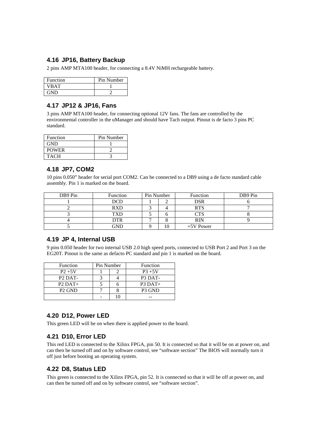## **4.16 JP16, Battery Backup**

2 pins AMP MTA100 header, for connecting a 8.4V NiMH rechargeable battery.

| Function | Pin Number |
|----------|------------|
| VRAT     |            |
| GND      |            |

## **4.17 JP12 & JP16, Fans**

3 pins AMP MTA100 header, for connecting optional 12V fans. The fans are controlled by the environmental controller in the uManager and should have Tach output. Pinout is de facto 3 pins PC standard.

| Function     | Pin Number |
|--------------|------------|
| <b>GND</b>   |            |
| <b>POWER</b> |            |
| <b>TACH</b>  |            |

## **4.18 JP7, COM2**

10 pins 0.050" header for serial port COM2. Can be connected to a DB9 using a de facto standard cable assembly. Pin 1 is marked on the board.

| DB9 Pin | Function   | Pin Number |    | Function   | DB9 Pin |
|---------|------------|------------|----|------------|---------|
|         | DCD        |            |    | <b>DSR</b> |         |
|         | <b>RXD</b> |            |    | <b>RTS</b> |         |
|         | TXD        |            |    | CTS        |         |
|         | DTR        |            |    | <b>RIN</b> |         |
|         | GND        |            | 10 | +5V Power  |         |

## **4.19 JP 4, Internal USB**

9 pins 0.050 header for two internal USB 2.0 high speed ports, connected to USB Port 2 and Port 3 on the EG20T. Pinout is the same as defacto PC standard and pin 1 is marked on the board.

| Function                         | Pin Number |  | Function            |
|----------------------------------|------------|--|---------------------|
| $P2 + 5V$                        |            |  | $P3 + 5V$           |
| P <sub>2</sub> D <sub>AT</sub> - |            |  | P <sub>3</sub> DAT- |
| $P2$ DAT+                        |            |  | $P3$ DAT+           |
| P <sub>2</sub> GND               |            |  | P <sub>3</sub> GND  |
|                                  |            |  |                     |

## **4.20 D12, Power LED**

This green LED will be on when there is applied power to the board.

## **4.21 D10, Error LED**

This red LED is connected to the Xilinx FPGA, pin 50. It is connected so that it will be on at power on, and can then be turned off and on by software control, see "software section" The BIOS will normally turn it off just before booting an operating system.

## **4.22 D8, Status LED**

This green is connected to the Xilinx FPGA, pin 52. It is connected so that it will be off at power on, and can then be turned off and on by software control, see "software section".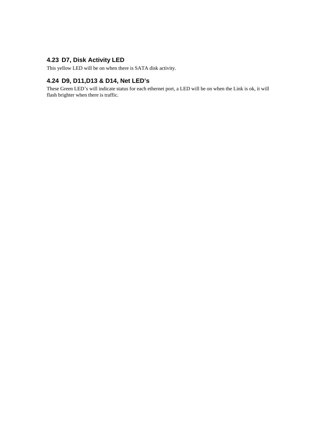## **4.23 D7, Disk Activity LED**

This yellow LED will be on when there is SATA disk activity.

## **4.24 D9, D11,D13 & D14, Net LED's**

These Green LED's will indicate status for each ethernet port, a LED will be on when the Link is ok, it will flash brighter when there is traffic.